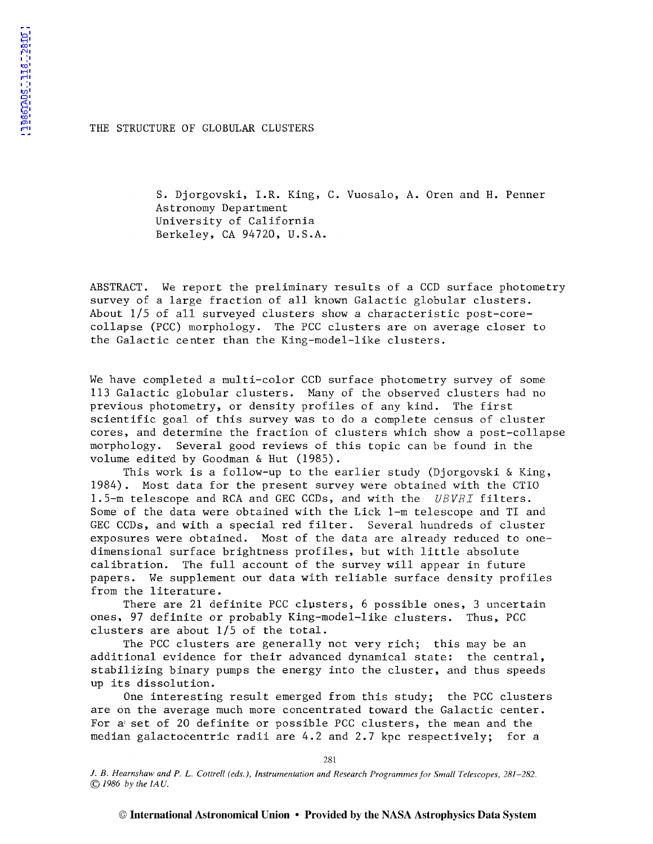[1986IAUS..118..281D](http://adsabs.harvard.edu/abs/1986IAUS..118..281D)

1986IAUS..118..281D

THE STRUCTURE OF GLOBULAR CLUSTERS

S. Djorgovski, I.R. King, C. Vuosalo, A. Oren and H. Penner Astronomy Department University of California Berkeley, CA 94720, U.S.A.

ABSTRACT. We report the preliminary results of a CCD surface photometry survey of a large fraction of all known Galactic globular clusters. About 1/5 of all surveyed clusters show a characteristic post-corecollapse (PCC) morphology. The PCC clusters are on average closer to the Galactic center than the King-model-like clusters.

We have completed a multi-color CCD surface photometry survey of some 113 Galactic globular clusters. Many of the observed clusters had no previous photometry, or density profiles of any kind. The first scientific goal of this survey was to do a complete census of cluster cores, and determine the fraction of clusters which show a post-collapse morphology. Several good reviews of this topic can be found in the volume edited by Goodman & Hut (1985).

This work is a follow-up to the earlier study (Djorgovski & King, 1984). Most data for the present survey were obtained with the CTIO 1.5-m telescope and RCA and GEC CCDs, and with the *UBVRI* filters. Some of the data were obtained with the Lick 1-m telescope and TI and GEC CCDs, and with a special red filter. Several hundreds of cluster exposures were obtained. Most of the data are already reduced to onedimensional surface brightness profiles, but with little absolute calibration. The full account of the survey will appear in future papers. We supplement our data with reliable surface density profiles from the literature.

There are 21 definite PCC clusters, 6 possible ones, 3 uncertain ones, 97 definite or probably King-model-like clusters. Thus, PCC clusters are about 1/5 of the total.

The PCC clusters are generally not very rich; this may be an additional evidence for their advanced dynamical state: the central, stabilizing binary pumps the energy into the cluster, and thus speeds up its dissolution.

One interesting result emerged from this study; the PCC clusters are on the average much more concentrated toward the Galactic center. For a' set of 20 definite or possible PCC clusters, the mean and the median galactocentric radii are 4.2 and 2.7 kpc respectively; for a

281

J. *B. Hearnshaw and P.* L. *Cottrell (eds.), Instrumentation and Research Programmes for Small Telescopes, 281-282.*  © *1986 by the IA U.*